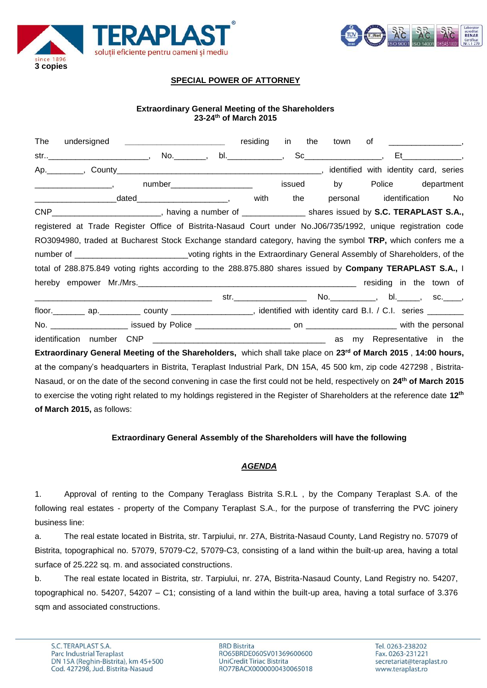



## **SPECIAL POWER OF ATTORNEY**

### **Extraordinary General Meeting of the Shareholders 23-24 th of March 2015**

| The                                                                                                                                   | residing | in<br>the | town     | $\mathsf{of}$ , and the set of $\mathsf{a}$                                                                                                                                                                                                                                                                                                                                                                                                                                                                                 |     |
|---------------------------------------------------------------------------------------------------------------------------------------|----------|-----------|----------|-----------------------------------------------------------------------------------------------------------------------------------------------------------------------------------------------------------------------------------------------------------------------------------------------------------------------------------------------------------------------------------------------------------------------------------------------------------------------------------------------------------------------------|-----|
| str_______________________________,  No.__________,  bl.________________,                                                             |          |           |          | $\begin{minipage}{.4\linewidth} \texttt{Sc} \begin{minipage}{.4\linewidth} \texttt{C} \end{minipage} \begin{minipage}{.4\linewidth} \texttt{C} \end{minipage} \begin{minipage}{.4\linewidth} \texttt{C} \end{minipage} \begin{minipage}{.4\linewidth} \texttt{C} \end{minipage} \begin{minipage}{.4\linewidth} \texttt{C} \end{minipage} \begin{minipage}{.4\linewidth} \texttt{C} \end{minipage} \begin{minipage}{.4\linewidth} \texttt{C} \end{minipage} \begin{minipage}{.4\linewidth} \texttt{C} \end{minipage} \begin$ |     |
|                                                                                                                                       |          |           |          |                                                                                                                                                                                                                                                                                                                                                                                                                                                                                                                             |     |
| number_______________________                                                                                                         |          | issued    | by       | Police department                                                                                                                                                                                                                                                                                                                                                                                                                                                                                                           |     |
| <u> Alexandro de la contrada de la contrada de la contrada de la contrada de la contrada de la contrada de la con</u>                 | with     | the       | personal | identification                                                                                                                                                                                                                                                                                                                                                                                                                                                                                                              | No. |
| CNP____________________________, having a number of ____________________ shares issued by S.C. TERAPLAST S.A.,                        |          |           |          |                                                                                                                                                                                                                                                                                                                                                                                                                                                                                                                             |     |
| registered at Trade Register Office of Bistrita-Nasaud Court under No.J06/735/1992, unique registration code                          |          |           |          |                                                                                                                                                                                                                                                                                                                                                                                                                                                                                                                             |     |
| RO3094980, traded at Bucharest Stock Exchange standard category, having the symbol TRP, which confers me a                            |          |           |          |                                                                                                                                                                                                                                                                                                                                                                                                                                                                                                                             |     |
| number of ________________________________voting rights in the Extraordinary General Assembly of Shareholders, of the                 |          |           |          |                                                                                                                                                                                                                                                                                                                                                                                                                                                                                                                             |     |
| total of 288.875.849 voting rights according to the 288.875.880 shares issued by Company TERAPLAST S.A., I                            |          |           |          |                                                                                                                                                                                                                                                                                                                                                                                                                                                                                                                             |     |
|                                                                                                                                       |          |           |          |                                                                                                                                                                                                                                                                                                                                                                                                                                                                                                                             |     |
|                                                                                                                                       |          |           |          |                                                                                                                                                                                                                                                                                                                                                                                                                                                                                                                             |     |
| floor. __________ ap. ___________ county _____________________, identified with identity card B.I. / C.I. series _________            |          |           |          |                                                                                                                                                                                                                                                                                                                                                                                                                                                                                                                             |     |
|                                                                                                                                       |          |           |          |                                                                                                                                                                                                                                                                                                                                                                                                                                                                                                                             |     |
| identification number                                                                                                                 |          |           |          |                                                                                                                                                                                                                                                                                                                                                                                                                                                                                                                             |     |
| Extraordinary General Meeting of the Shareholders, which shall take place on 23 <sup>rd</sup> of March 2015, 14:00 hours,             |          |           |          |                                                                                                                                                                                                                                                                                                                                                                                                                                                                                                                             |     |
| at the company's headquarters in Bistrita, Teraplast Industrial Park, DN 15A, 45 500 km, zip code 427298, Bistrita-                   |          |           |          |                                                                                                                                                                                                                                                                                                                                                                                                                                                                                                                             |     |
| Nasaud, or on the date of the second convening in case the first could not be held, respectively on 24 <sup>th</sup> of March 2015    |          |           |          |                                                                                                                                                                                                                                                                                                                                                                                                                                                                                                                             |     |
| to exercise the voting right related to my holdings registered in the Register of Shareholders at the reference date 12 <sup>th</sup> |          |           |          |                                                                                                                                                                                                                                                                                                                                                                                                                                                                                                                             |     |
| of March 2015, as follows:                                                                                                            |          |           |          |                                                                                                                                                                                                                                                                                                                                                                                                                                                                                                                             |     |

#### **Extraordinary General Assembly of the Shareholders will have the following**

#### *AGENDA*

1. Approval of renting to the Company Teraglass Bistrita S.R.L , by the Company Teraplast S.A. of the following real estates - property of the Company Teraplast S.A., for the purpose of transferring the PVC joinery business line:

a. The real estate located in Bistrita, str. Tarpiului, nr. 27A, Bistrita-Nasaud County, Land Registry no. 57079 of Bistrita, topographical no. 57079, 57079-C2, 57079-C3, consisting of a land within the built-up area, having a total surface of 25.222 sq. m. and associated constructions.

b. The real estate located in Bistrita, str. Tarpiului, nr. 27A, Bistrita-Nasaud County, Land Registry no. 54207, topographical no. 54207, 54207 – C1; consisting of a land within the built-up area, having a total surface of 3.376 sqm and associated constructions.

**BRD Bistrita** RO65BRDE060SV01369600600 UniCredit Tiriac Bistrita RO77BACX0000000430065018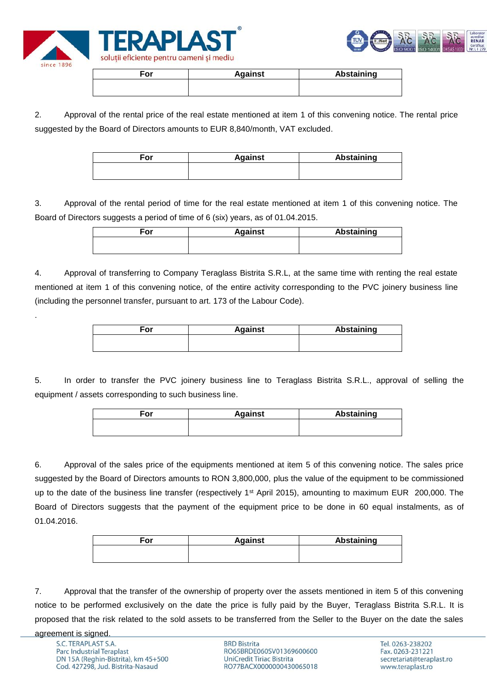



| For | <b>Against</b> | <b>Abstaining</b> |
|-----|----------------|-------------------|
|     |                |                   |
|     |                |                   |

2. Approval of the rental price of the real estate mentioned at item 1 of this convening notice. The rental price suggested by the Board of Directors amounts to EUR 8,840/month, VAT excluded.

| For | <b>Against</b> | <b>Abstaining</b> |
|-----|----------------|-------------------|
|     |                |                   |
|     |                |                   |

3. Approval of the rental period of time for the real estate mentioned at item 1 of this convening notice. The Board of Directors suggests a period of time of 6 (six) years, as of 01.04.2015.

| For | <b>Against</b> | <b>Abstaining</b> |
|-----|----------------|-------------------|
|     |                |                   |
|     |                |                   |

4. Approval of transferring to Company Teraglass Bistrita S.R.L, at the same time with renting the real estate mentioned at item 1 of this convening notice, of the entire activity corresponding to the PVC joinery business line (including the personnel transfer, pursuant to art. 173 of the Labour Code).

| For | <b>Against</b> | Abstaining |
|-----|----------------|------------|
|     |                |            |
|     |                |            |

5. In order to transfer the PVC joinery business line to Teraglass Bistrita S.R.L., approval of selling the equipment / assets corresponding to such business line.

| <b>Against</b> | <b>Abstaining</b> |
|----------------|-------------------|
|                |                   |
|                |                   |

6. Approval of the sales price of the equipments mentioned at item 5 of this convening notice. The sales price suggested by the Board of Directors amounts to RON 3,800,000, plus the value of the equipment to be commissioned up to the date of the business line transfer (respectively 1<sup>st</sup> April 2015), amounting to maximum EUR 200,000. The Board of Directors suggests that the payment of the equipment price to be done in 60 equal instalments, as of 01.04.2016.

| For | <b>Against</b> | Abstaining |
|-----|----------------|------------|
|     |                |            |
|     |                |            |

7. Approval that the transfer of the ownership of property over the assets mentioned in item 5 of this convening notice to be performed exclusively on the date the price is fully paid by the Buyer, Teraglass Bistrita S.R.L. It is proposed that the risk related to the sold assets to be transferred from the Seller to the Buyer on the date the sales

.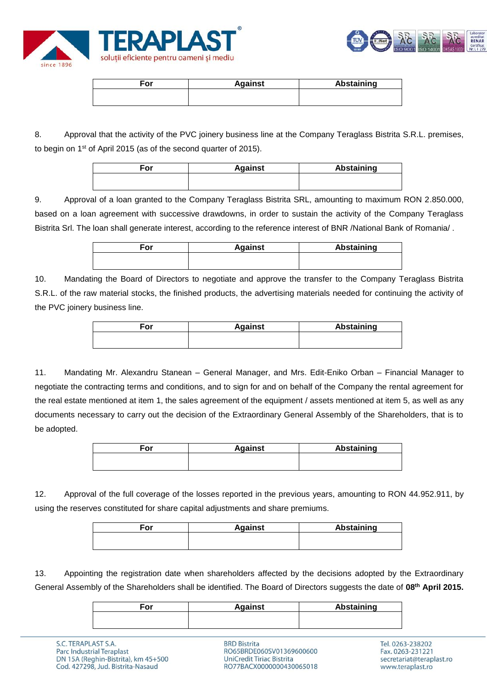



| <b>Against</b> | <b>Abstaining</b> |
|----------------|-------------------|
|                |                   |
|                |                   |

8. Approval that the activity of the PVC joinery business line at the Company Teraglass Bistrita S.R.L. premises, to begin on 1st of April 2015 (as of the second quarter of 2015).

| For | <b>Against</b> | Abstaining |
|-----|----------------|------------|
|     |                |            |

9. Approval of a loan granted to the Company Teraglass Bistrita SRL, amounting to maximum RON 2.850.000, based on a loan agreement with successive drawdowns, in order to sustain the activity of the Company Teraglass Bistrita Srl. The loan shall generate interest, according to the reference interest of BNR /National Bank of Romania/ .

| ™or | <b>Against</b> | <b>Abstaining</b> |
|-----|----------------|-------------------|
|     |                |                   |

10. Mandating the Board of Directors to negotiate and approve the transfer to the Company Teraglass Bistrita S.R.L. of the raw material stocks, the finished products, the advertising materials needed for continuing the activity of the PVC joinery business line.

| For | <b>Against</b> | Abstaining |
|-----|----------------|------------|
|     |                |            |
|     |                |            |

11. Mandating Mr. Alexandru Stanean – General Manager, and Mrs. Edit-Eniko Orban – Financial Manager to negotiate the contracting terms and conditions, and to sign for and on behalf of the Company the rental agreement for the real estate mentioned at item 1, the sales agreement of the equipment / assets mentioned at item 5, as well as any documents necessary to carry out the decision of the Extraordinary General Assembly of the Shareholders, that is to be adopted.

| ∃or | <b>Against</b> | <b>Abstaining</b> |
|-----|----------------|-------------------|
|     |                |                   |
|     |                |                   |

12. Approval of the full coverage of the losses reported in the previous years, amounting to RON 44.952.911, by using the reserves constituted for share capital adjustments and share premiums.

| For | <b>Against</b> | Abstaining |
|-----|----------------|------------|
|     |                |            |
|     |                |            |

13. Appointing the registration date when shareholders affected by the decisions adopted by the Extraordinary General Assembly of the Shareholders shall be identified. The Board of Directors suggests the date of **08th April 2015.**

| ∃or | <b>Against</b> | Abstaining |
|-----|----------------|------------|
|     |                |            |

**BRD Bistrita** RO65BRDE060SV01369600600 **UniCredit Tiriac Bistrita** RO77BACX0000000430065018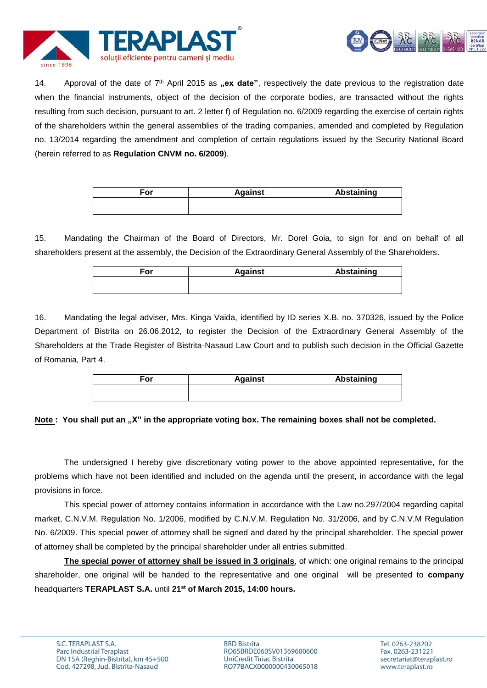



14. Approval of the date of 7<sup>th</sup> April 2015 as **"ex date**", respectively the date previous to the registration date when the financial instruments, object of the decision of the corporate bodies, are transacted without the rights resulting from such decision, pursuant to art. 2 letter f) of Regulation no. 6/2009 regarding the exercise of certain rights of the shareholders within the general assemblies of the trading companies, amended and completed by Regulation no. 13/2014 regarding the amendment and completion of certain regulations issued by the Security National Board (herein referred to as **Regulation CNVM no. 6/2009**).

| For | <b>Against</b> | <b>Abstaining</b> |
|-----|----------------|-------------------|
|     |                |                   |

15. Mandating the Chairman of the Board of Directors, Mr. Dorel Goia, to sign for and on behalf of all shareholders present at the assembly, the Decision of the Extraordinary General Assembly of the Shareholders.

| For | <b>Against</b> | <b>Abstaining</b> |
|-----|----------------|-------------------|
|     |                |                   |
|     |                |                   |

16. Mandating the legal adviser, Mrs. Kinga Vaida, identified by ID series X.B. no. 370326, issued by the Police Department of Bistrita on 26.06.2012, to register the Decision of the Extraordinary General Assembly of the Shareholders at the Trade Register of Bistrita-Nasaud Law Court and to publish such decision in the Official Gazette of Romania, Part 4.

| For | <b>Against</b> | <b>Abstaining</b> |
|-----|----------------|-------------------|
|     |                |                   |
|     |                |                   |

# Note : You shall put an "X" in the appropriate voting box. The remaining boxes shall not be completed.

The undersigned I hereby give discretionary voting power to the above appointed representative, for the problems which have not been identified and included on the agenda until the present, in accordance with the legal provisions in force.

This special power of attorney contains information in accordance with the Law no.297/2004 regarding capital market, C.N.V.M. Regulation No. 1/2006, modified by C.N.V.M. Regulation No. 31/2006, and by C.N.V.M Regulation No. 6/2009. This special power of attorney shall be signed and dated by the principal shareholder. The special power of attorney shall be completed by the principal shareholder under all entries submitted.

**The special power of attorney shall be issued in 3 originals**, of which: one original remains to the principal shareholder, one original will be handed to the representative and one original will be presented to **company** headquarters **TERAPLAST S.A.** until **21st of March 2015, 14:00 hours.**